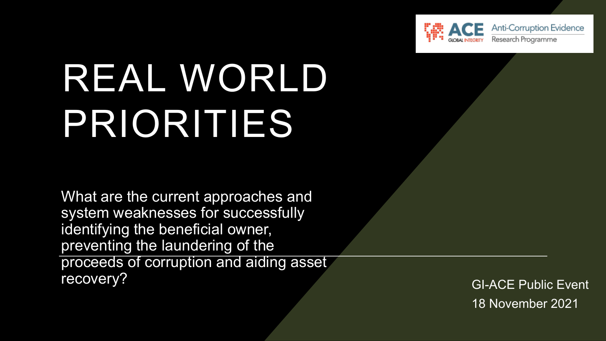

# REAL WORLD PRIORITIES

What are the current approaches and system weaknesses for successfully identifying the beneficial owner, preventing the laundering of the proceeds of corruption and aiding asset recovery? The covery of the contract of the contract of the contract of the contract of the contract of the contract of the contract of the contract of the contract of the contract of the contract of the contract of the co

18 November 2021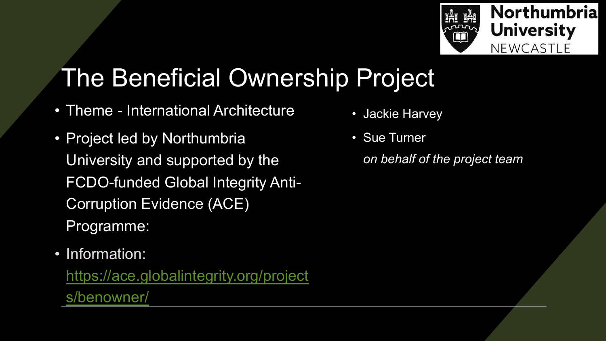## The Beneficial Ownership Pro

- Theme International Architecture
- [Project led by Northumbria](https://ace.globalintegrity.org/projects/benowner/)  University and supported by the FCDO-funded Global Integrity Anti-Corruption Evidence (ACE) Programme:
- Information:

https://ace.globalintegrity.org/project s/benowner/

- Jack
- Sue

*on behalf of the project team*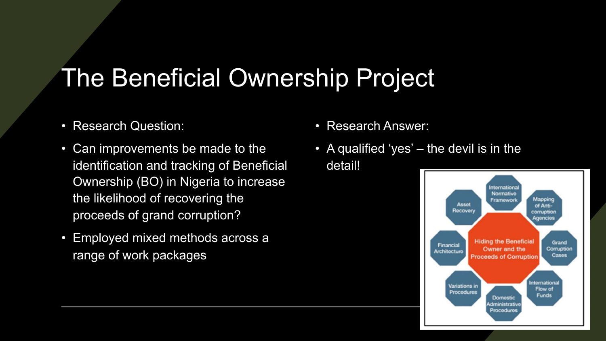#### The Beneficial Ownership Project

- Research Question:
- Can improvements be made to the identification and tracking of Beneficial Ownership (BO) in Nigeria to increase the likelihood of recovering the proceeds of grand corruption?
- Employed mixed methods across a range of work packages
- Research Answer:
- A qualified 'yes' the devil is in the detail!

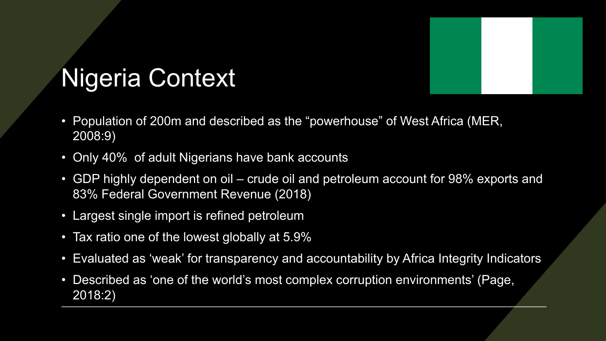### Nigeria Context

- Population of 200m and described as the "powerhouse" of West Africa (MER, 2008:9)
- Only 40% of adult Nigerians have bank accounts
- GDP highly dependent on oil crude oil and petroleum account for 98% exports and 83% Federal Government Revenue (2018)
- Largest single import is refined petroleum
- Tax ratio one of the lowest globally at 5.9%
- Evaluated as 'weak' for transparency and accountability by Africa Integrity Indicators
- Described as 'one of the world's most complex corruption environments' (Page, 2018:2)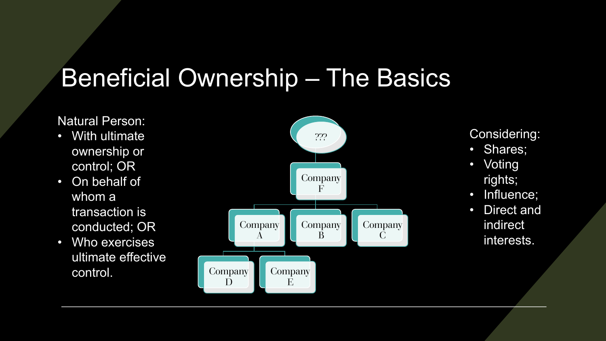#### Beneficial Ownership – The Basics

Natural Person:

- With ultimate ownership or control; OR
- On behalf of whom a transaction is conducted; OR
- Who exercises ultimate effective control.



#### Considering:

- Shares;
- Voting rights;
- Influence;
- Direct and indirect interests.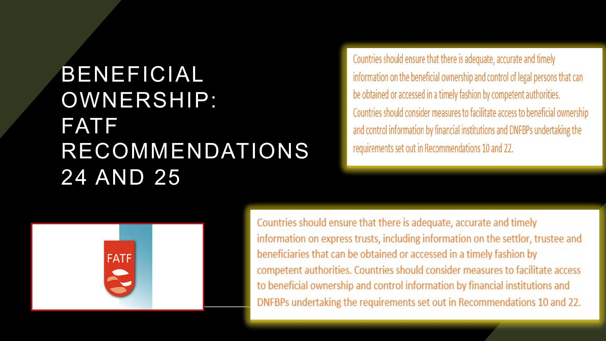#### BENEFICIAL OWNERSHIP: FATF RECOMMENDATIONS 24 AND 25

Countries should ensure that there is adequate, accurate and timely information on the beneficial ownership and control of legal persons that can be obtained or accessed in a timely fashion by competent authorities. Countries should consider measures to facilitate access to beneficial ownership and control information by financial institutions and DNFBPs undertaking the requirements set out in Recommendations 10 and 22.



Countries should ensure that there is adequate, accurate and timely information on express trusts, including information on the settlor, trustee and beneficiaries that can be obtained or accessed in a timely fashion by competent authorities. Countries should consider measures to facilitate access to beneficial ownership and control information by financial institutions and DNFBPs undertaking the requirements set out in Recommendations 10 and 22.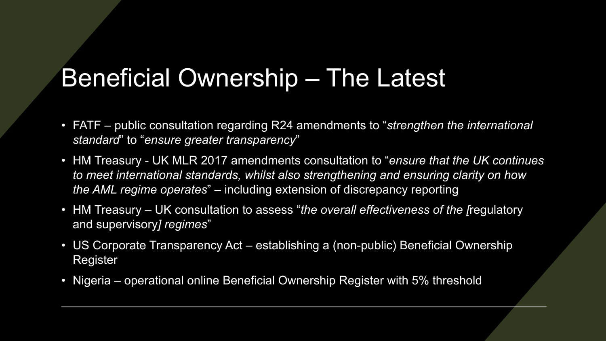#### Beneficial Ownership – The Latest

- FATF public consultation regarding R24 amendments to "*strengthen the international standard*" to "*ensure greater transparency*"
- HM Treasury UK MLR 2017 amendments consultation to "*ensure that the UK continues to meet international standards, whilst also strengthening and ensuring clarity on how the AML regime operates*" – including extension of discrepancy reporting
- HM Treasury UK consultation to assess "*the overall effectiveness of the [*regulatory and supervisory*] regimes*"
- US Corporate Transparency Act establishing a (non-public) Beneficial Ownership Register
- Nigeria operational online Beneficial Ownership Register with 5% threshold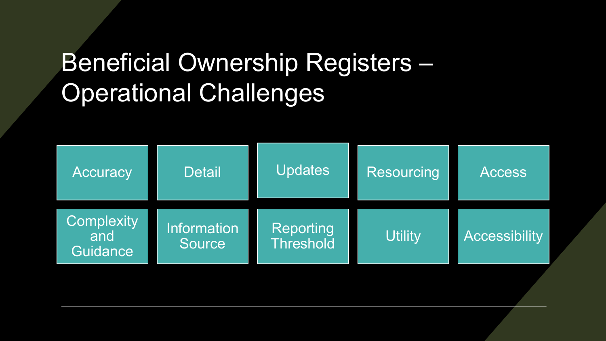#### Beneficial Ownership Registers – Operational Challenges

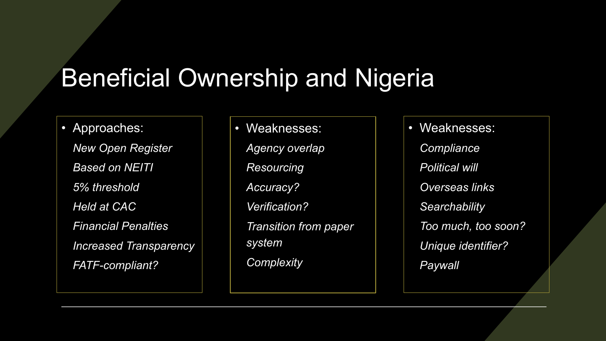#### Beneficial Ownership and Nigeria

• Approaches: *New Open Register Based on NEITI 5% threshold Held at CAC Financial Penalties Increased Transparency FATF-compliant?*

• Weaknesses: *Agency overlap Resourcing Accuracy? Verification? Transition from paper system Complexity*

• Weaknesses: *Compliance Political will Overseas links Searchability Too much, too soon? Unique identifier? Paywall*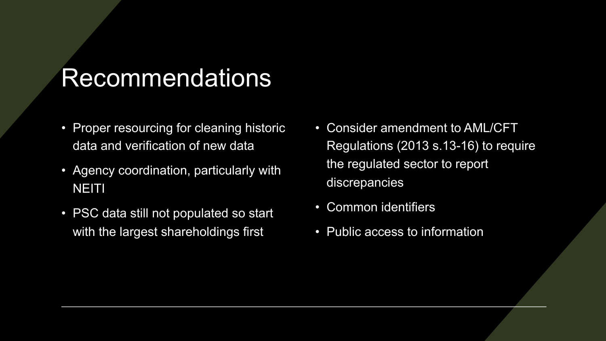#### **Recommendations**

- Proper resourcing for cleaning historic data and verification of new data
- Agency coordination, particularly with NEITI
- PSC data still not populated so start with the largest shareholdings first
- Consider amendment to AML/CFT Regulations (2013 s.13-16) to require the regulated sector to report discrepancies
- Common identifiers
- Public access to information